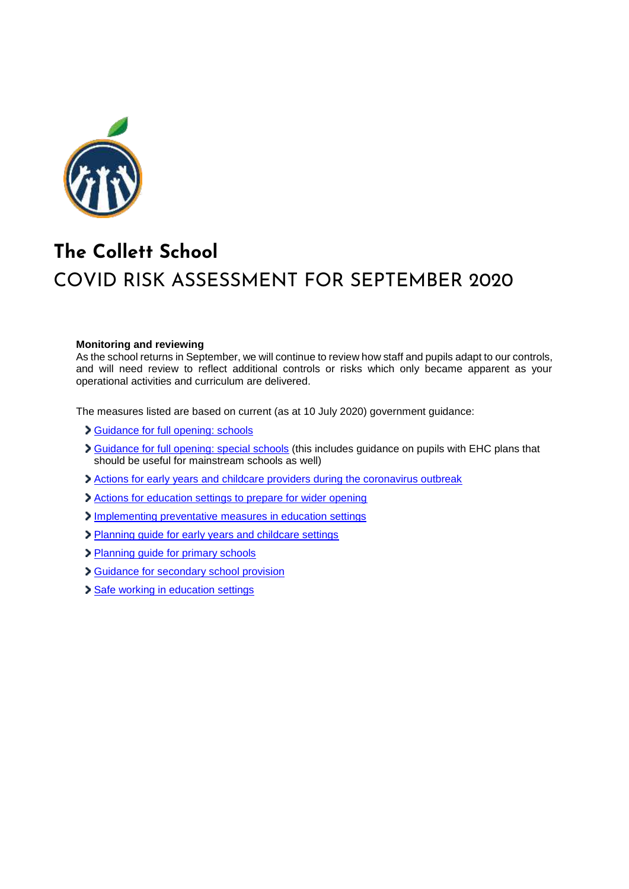

## **The Collett School**  COVID RISK ASSESSMENT FOR SEPTEMBER 2020

## **Monitoring and reviewing**

As the school returns in September, we will continue to review how staff and pupils adapt to our controls, and will need review to reflect additional controls or risks which only became apparent as your operational activities and curriculum are delivered.

The measures listed are based on current (as at 10 July 2020) government guidance:

- [Guidance for full opening: schools](https://www.gov.uk/government/publications/actions-for-schools-during-the-coronavirus-outbreak/guidance-for-full-opening-schools)
- Suidance for full opening: special schools (this includes guidance on pupils with EHC plans that should be useful for mainstream schools as well)
- [Actions for early years and childcare providers during the coronavirus outbreak](https://www.gov.uk/government/publications/coronavirus-covid-19-early-years-and-childcare-closures/coronavirus-covid-19-early-years-and-childcare-closures)
- [Actions for education settings to prepare for wider opening](https://www.gov.uk/government/publications/actions-for-educational-and-childcare-settings-to-prepare-for-wider-opening-from-1-june-2020/actions-for-education-and-childcare-settings-to-prepare-for-wider-opening-from-1-june-2020)
- [Implementing preventative measures in education settings](https://www.gov.uk/government/publications/coronavirus-covid-19-implementing-protective-measures-in-education-and-childcare-settings/coronavirus-covid-19-implementing-protective-measures-in-education-and-childcare-settings)
- [Planning guide for early years and childcare settings](https://www.gov.uk/government/publications/preparing-for-the-wider-opening-of-early-years-and-childcare-settings-from-1-june/planning-guide-for-early-years-and-childcare-settings)
- [Planning guide for primary schools](https://www.gov.uk/government/publications/preparing-for-the-wider-opening-of-schools-from-1-june/planning-guide-for-primary-schools)
- [Guidance for secondary school provision](https://www.gov.uk/government/publications/preparing-for-the-wider-opening-of-schools-from-1-june/planning-guide-for-secondary-schools)
- [Safe working in education settings](https://www.gov.uk/government/publications/safe-working-in-education-childcare-and-childrens-social-care/safe-working-in-education-childcare-and-childrens-social-care-settings-including-the-use-of-personal-protective-equipment-ppe)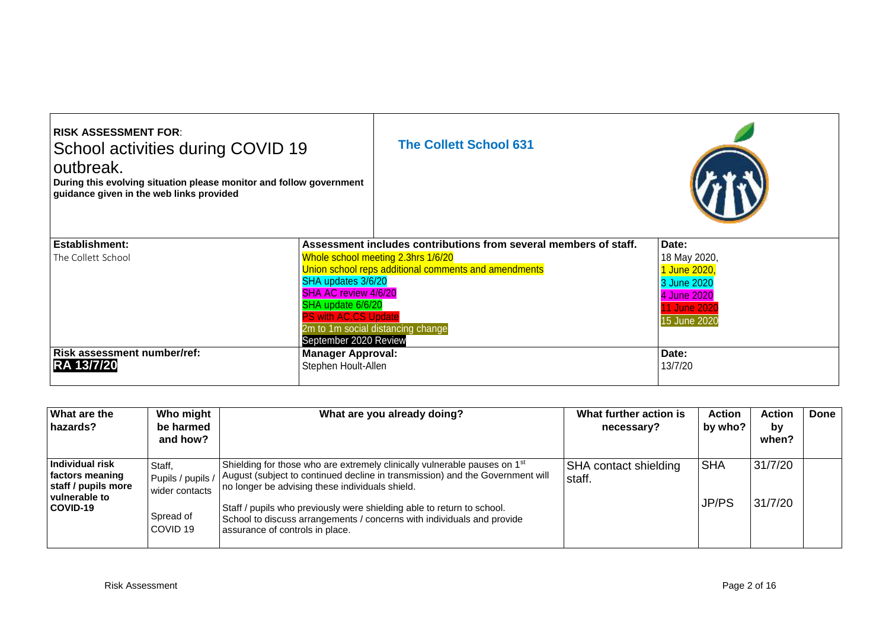| <b>RISK ASSESSMENT FOR:</b><br>School activities during COVID 19<br>outbreak.<br>During this evolving situation please monitor and follow government<br>guidance given in the web links provided |                                                                                                                  | <b>The Collett School 631</b>                                                                                                   |                                                                                                   |
|--------------------------------------------------------------------------------------------------------------------------------------------------------------------------------------------------|------------------------------------------------------------------------------------------------------------------|---------------------------------------------------------------------------------------------------------------------------------|---------------------------------------------------------------------------------------------------|
| Establishment:                                                                                                                                                                                   |                                                                                                                  | Assessment includes contributions from several members of staff.                                                                | Date:                                                                                             |
| The Collett School                                                                                                                                                                               | SHA updates 3/6/20<br>SHA AC review 4/6/20<br>SHA update 6/6/20<br>PS with AC,CS Update<br>September 2020 Review | Whole school meeting 2.3hrs 1/6/20<br>Union school reps additional comments and amendments<br>2m to 1m social distancing change | 18 May 2020,<br>1 June 2020,<br>3 June 2020<br>4 June 2020<br><b>11 June 2020</b><br>15 June 2020 |
| Risk assessment number/ref:<br><b>RA 13/7/20</b>                                                                                                                                                 | <b>Manager Approval:</b><br>Stephen Hoult-Allen                                                                  |                                                                                                                                 | Date:<br>13/7/20                                                                                  |

| <b>What are the</b><br>hazards?                                                               | Who might<br>be harmed<br>and how?                                                | What are you already doing?                                                                                                                                                                                                                                                                                                                                                                                      | What further action is<br>necessary? | <b>Action</b><br>by who? | Action<br>by<br>when? | Done |
|-----------------------------------------------------------------------------------------------|-----------------------------------------------------------------------------------|------------------------------------------------------------------------------------------------------------------------------------------------------------------------------------------------------------------------------------------------------------------------------------------------------------------------------------------------------------------------------------------------------------------|--------------------------------------|--------------------------|-----------------------|------|
| <b>Individual risk</b><br>factors meaning<br>staff / pupils more<br>vulnerable to<br>COVID-19 | Staff.<br>Pupils / pupils /<br>wider contacts<br>Spread of<br>COVID <sub>19</sub> | Shielding for those who are extremely clinically vulnerable pauses on 1 <sup>st</sup><br>August (subject to continued decline in transmission) and the Government will<br>no longer be advising these individuals shield.<br>Staff / pupils who previously were shielding able to return to school.<br>School to discuss arrangements / concerns with individuals and provide<br>assurance of controls in place. | SHA contact shielding<br>staff.      | SHA<br><b>JP/PS</b>      | 31/7/20<br>31/7/20    |      |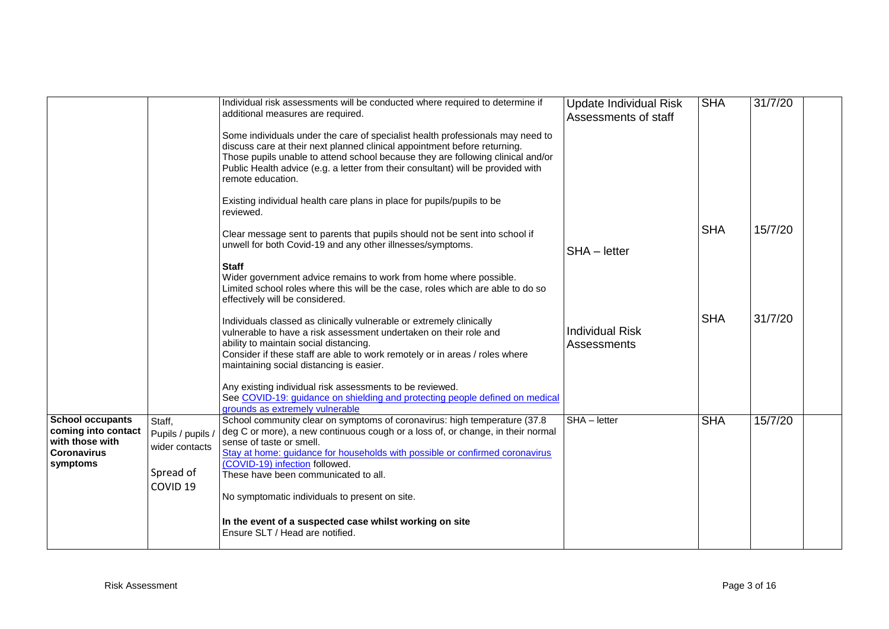|                                                                                         |                                               | Individual risk assessments will be conducted where required to determine if<br>additional measures are required.<br>Some individuals under the care of specialist health professionals may need to<br>discuss care at their next planned clinical appointment before returning.<br>Those pupils unable to attend school because they are following clinical and/or<br>Public Health advice (e.g. a letter from their consultant) will be provided with<br>remote education.<br>Existing individual health care plans in place for pupils/pupils to be | <b>Update Individual Risk</b><br>Assessments of staff | <b>SHA</b> | 31/7/20 |  |
|-----------------------------------------------------------------------------------------|-----------------------------------------------|--------------------------------------------------------------------------------------------------------------------------------------------------------------------------------------------------------------------------------------------------------------------------------------------------------------------------------------------------------------------------------------------------------------------------------------------------------------------------------------------------------------------------------------------------------|-------------------------------------------------------|------------|---------|--|
|                                                                                         |                                               | reviewed.<br>Clear message sent to parents that pupils should not be sent into school if<br>unwell for both Covid-19 and any other illnesses/symptoms.<br><b>Staff</b>                                                                                                                                                                                                                                                                                                                                                                                 | SHA - letter                                          | <b>SHA</b> | 15/7/20 |  |
|                                                                                         |                                               | Wider government advice remains to work from home where possible.<br>Limited school roles where this will be the case, roles which are able to do so<br>effectively will be considered.                                                                                                                                                                                                                                                                                                                                                                |                                                       |            |         |  |
|                                                                                         |                                               | Individuals classed as clinically vulnerable or extremely clinically<br>vulnerable to have a risk assessment undertaken on their role and<br>ability to maintain social distancing.<br>Consider if these staff are able to work remotely or in areas / roles where<br>maintaining social distancing is easier.                                                                                                                                                                                                                                         | <b>Individual Risk</b><br>Assessments                 | <b>SHA</b> | 31/7/20 |  |
|                                                                                         |                                               | Any existing individual risk assessments to be reviewed.<br>See COVID-19: guidance on shielding and protecting people defined on medical<br>grounds as extremely vulnerable                                                                                                                                                                                                                                                                                                                                                                            |                                                       |            |         |  |
| <b>School occupants</b><br>coming into contact<br>with those with<br><b>Coronavirus</b> | Staff,<br>Pupils / pupils /<br>wider contacts | School community clear on symptoms of coronavirus: high temperature (37.8)<br>deg C or more), a new continuous cough or a loss of, or change, in their normal<br>sense of taste or smell.<br>Stay at home: guidance for households with possible or confirmed coronavirus                                                                                                                                                                                                                                                                              | SHA - letter                                          | <b>SHA</b> | 15/7/20 |  |
| symptoms                                                                                | Spread of<br>COVID <sub>19</sub>              | (COVID-19) infection followed.<br>These have been communicated to all.<br>No symptomatic individuals to present on site.                                                                                                                                                                                                                                                                                                                                                                                                                               |                                                       |            |         |  |
|                                                                                         |                                               | In the event of a suspected case whilst working on site<br>Ensure SLT / Head are notified.                                                                                                                                                                                                                                                                                                                                                                                                                                                             |                                                       |            |         |  |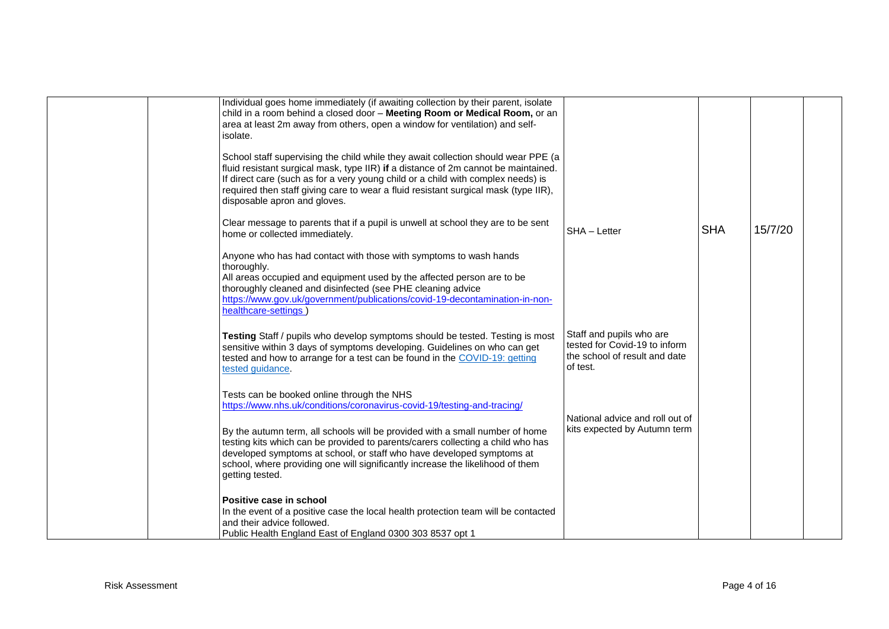| Individual goes home immediately (if awaiting collection by their parent, isolate<br>child in a room behind a closed door - Meeting Room or Medical Room, or an<br>area at least 2m away from others, open a window for ventilation) and self-<br>isolate.                                                                                                                         |                                                                                                        |            |         |  |
|------------------------------------------------------------------------------------------------------------------------------------------------------------------------------------------------------------------------------------------------------------------------------------------------------------------------------------------------------------------------------------|--------------------------------------------------------------------------------------------------------|------------|---------|--|
| School staff supervising the child while they await collection should wear PPE (a<br>fluid resistant surgical mask, type IIR) if a distance of 2m cannot be maintained.<br>If direct care (such as for a very young child or a child with complex needs) is<br>required then staff giving care to wear a fluid resistant surgical mask (type IIR),<br>disposable apron and gloves. |                                                                                                        |            |         |  |
| Clear message to parents that if a pupil is unwell at school they are to be sent<br>home or collected immediately.                                                                                                                                                                                                                                                                 | SHA - Letter                                                                                           | <b>SHA</b> | 15/7/20 |  |
| Anyone who has had contact with those with symptoms to wash hands<br>thoroughly.<br>All areas occupied and equipment used by the affected person are to be<br>thoroughly cleaned and disinfected (see PHE cleaning advice<br>https://www.gov.uk/government/publications/covid-19-decontamination-in-non-<br>healthcare-settings                                                    |                                                                                                        |            |         |  |
| Testing Staff / pupils who develop symptoms should be tested. Testing is most<br>sensitive within 3 days of symptoms developing. Guidelines on who can get<br>tested and how to arrange for a test can be found in the COVID-19: getting<br>tested guidance.                                                                                                                       | Staff and pupils who are<br>tested for Covid-19 to inform<br>the school of result and date<br>of test. |            |         |  |
| Tests can be booked online through the NHS<br>https://www.nhs.uk/conditions/coronavirus-covid-19/testing-and-tracing/                                                                                                                                                                                                                                                              |                                                                                                        |            |         |  |
| By the autumn term, all schools will be provided with a small number of home<br>testing kits which can be provided to parents/carers collecting a child who has<br>developed symptoms at school, or staff who have developed symptoms at<br>school, where providing one will significantly increase the likelihood of them<br>getting tested.                                      | National advice and roll out of<br>kits expected by Autumn term                                        |            |         |  |
| Positive case in school<br>In the event of a positive case the local health protection team will be contacted<br>and their advice followed.<br>Public Health England East of England 0300 303 8537 opt 1                                                                                                                                                                           |                                                                                                        |            |         |  |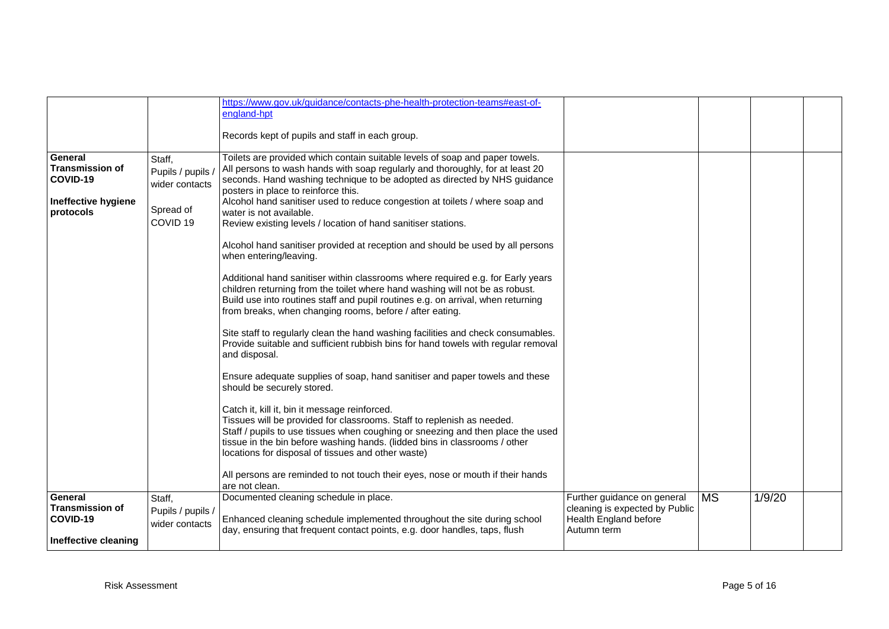|                                    |                     | https://www.gov.uk/guidance/contacts-phe-health-protection-teams#east-of-                                                                                                                                                                                                                                                                      |                                                         |           |        |  |
|------------------------------------|---------------------|------------------------------------------------------------------------------------------------------------------------------------------------------------------------------------------------------------------------------------------------------------------------------------------------------------------------------------------------|---------------------------------------------------------|-----------|--------|--|
|                                    |                     | england-hpt                                                                                                                                                                                                                                                                                                                                    |                                                         |           |        |  |
|                                    |                     | Records kept of pupils and staff in each group.                                                                                                                                                                                                                                                                                                |                                                         |           |        |  |
|                                    |                     |                                                                                                                                                                                                                                                                                                                                                |                                                         |           |        |  |
| General<br><b>Transmission of</b>  | Staff,              | Toilets are provided which contain suitable levels of soap and paper towels.                                                                                                                                                                                                                                                                   |                                                         |           |        |  |
| COVID-19                           | Pupils / pupils /   | All persons to wash hands with soap regularly and thoroughly, for at least 20<br>seconds. Hand washing technique to be adopted as directed by NHS guidance                                                                                                                                                                                     |                                                         |           |        |  |
|                                    | wider contacts      | posters in place to reinforce this.                                                                                                                                                                                                                                                                                                            |                                                         |           |        |  |
| Ineffective hygiene                | Spread of           | Alcohol hand sanitiser used to reduce congestion at toilets / where soap and                                                                                                                                                                                                                                                                   |                                                         |           |        |  |
| protocols                          | COVID <sub>19</sub> | water is not available.<br>Review existing levels / location of hand sanitiser stations.                                                                                                                                                                                                                                                       |                                                         |           |        |  |
|                                    |                     |                                                                                                                                                                                                                                                                                                                                                |                                                         |           |        |  |
|                                    |                     | Alcohol hand sanitiser provided at reception and should be used by all persons<br>when entering/leaving.                                                                                                                                                                                                                                       |                                                         |           |        |  |
|                                    |                     | Additional hand sanitiser within classrooms where required e.g. for Early years<br>children returning from the toilet where hand washing will not be as robust.                                                                                                                                                                                |                                                         |           |        |  |
|                                    |                     | Build use into routines staff and pupil routines e.g. on arrival, when returning<br>from breaks, when changing rooms, before / after eating.                                                                                                                                                                                                   |                                                         |           |        |  |
|                                    |                     | Site staff to regularly clean the hand washing facilities and check consumables.<br>Provide suitable and sufficient rubbish bins for hand towels with regular removal<br>and disposal.                                                                                                                                                         |                                                         |           |        |  |
|                                    |                     | Ensure adequate supplies of soap, hand sanitiser and paper towels and these<br>should be securely stored.                                                                                                                                                                                                                                      |                                                         |           |        |  |
|                                    |                     | Catch it, kill it, bin it message reinforced.<br>Tissues will be provided for classrooms. Staff to replenish as needed.<br>Staff / pupils to use tissues when coughing or sneezing and then place the used<br>tissue in the bin before washing hands. (lidded bins in classrooms / other<br>locations for disposal of tissues and other waste) |                                                         |           |        |  |
|                                    |                     | All persons are reminded to not touch their eyes, nose or mouth if their hands<br>are not clean.                                                                                                                                                                                                                                               |                                                         |           |        |  |
| General                            | Staff,              | Documented cleaning schedule in place.                                                                                                                                                                                                                                                                                                         | Further guidance on general                             | <b>MS</b> | 1/9/20 |  |
| <b>Transmission of</b><br>COVID-19 | Pupils / pupils /   | Enhanced cleaning schedule implemented throughout the site during school                                                                                                                                                                                                                                                                       | cleaning is expected by Public<br>Health England before |           |        |  |
|                                    | wider contacts      | day, ensuring that frequent contact points, e.g. door handles, taps, flush                                                                                                                                                                                                                                                                     | Autumn term                                             |           |        |  |
| Ineffective cleaning               |                     |                                                                                                                                                                                                                                                                                                                                                |                                                         |           |        |  |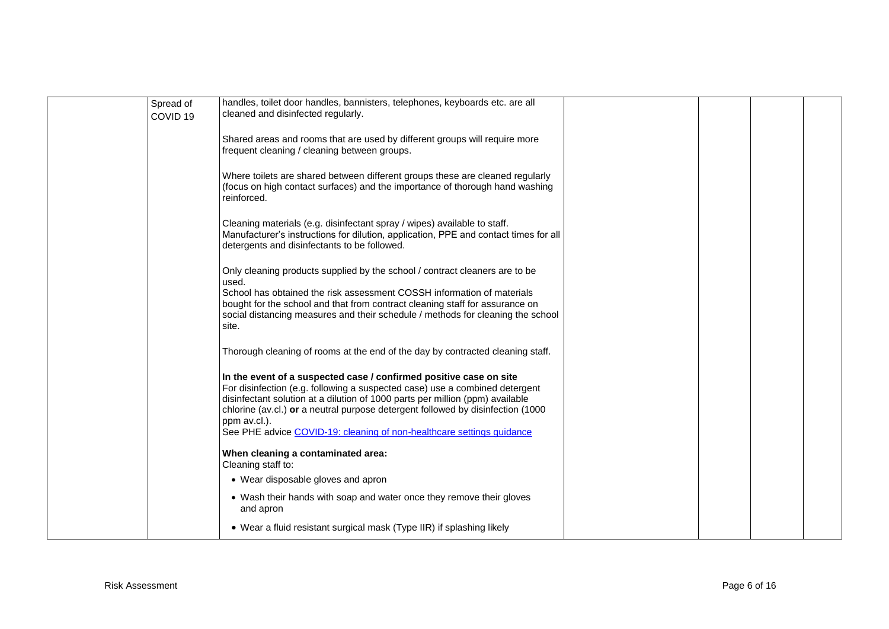| Spread of<br>COVID <sub>19</sub> | handles, toilet door handles, bannisters, telephones, keyboards etc. are all<br>cleaned and disinfected regularly.                                                                                                                                                                                                                                                                                             |  |  |
|----------------------------------|----------------------------------------------------------------------------------------------------------------------------------------------------------------------------------------------------------------------------------------------------------------------------------------------------------------------------------------------------------------------------------------------------------------|--|--|
|                                  | Shared areas and rooms that are used by different groups will require more<br>frequent cleaning / cleaning between groups.                                                                                                                                                                                                                                                                                     |  |  |
|                                  | Where toilets are shared between different groups these are cleaned regularly<br>(focus on high contact surfaces) and the importance of thorough hand washing<br>reinforced.                                                                                                                                                                                                                                   |  |  |
|                                  | Cleaning materials (e.g. disinfectant spray / wipes) available to staff.<br>Manufacturer's instructions for dilution, application, PPE and contact times for all<br>detergents and disinfectants to be followed.                                                                                                                                                                                               |  |  |
|                                  | Only cleaning products supplied by the school / contract cleaners are to be<br>used.<br>School has obtained the risk assessment COSSH information of materials<br>bought for the school and that from contract cleaning staff for assurance on<br>social distancing measures and their schedule / methods for cleaning the school<br>site.                                                                     |  |  |
|                                  | Thorough cleaning of rooms at the end of the day by contracted cleaning staff.                                                                                                                                                                                                                                                                                                                                 |  |  |
|                                  | In the event of a suspected case / confirmed positive case on site<br>For disinfection (e.g. following a suspected case) use a combined detergent<br>disinfectant solution at a dilution of 1000 parts per million (ppm) available<br>chlorine (av.cl.) or a neutral purpose detergent followed by disinfection (1000<br>ppm av.cl.).<br>See PHE advice COVID-19: cleaning of non-healthcare settings guidance |  |  |
|                                  | When cleaning a contaminated area:<br>Cleaning staff to:                                                                                                                                                                                                                                                                                                                                                       |  |  |
|                                  | • Wear disposable gloves and apron                                                                                                                                                                                                                                                                                                                                                                             |  |  |
|                                  | • Wash their hands with soap and water once they remove their gloves<br>and apron                                                                                                                                                                                                                                                                                                                              |  |  |
|                                  | • Wear a fluid resistant surgical mask (Type IIR) if splashing likely                                                                                                                                                                                                                                                                                                                                          |  |  |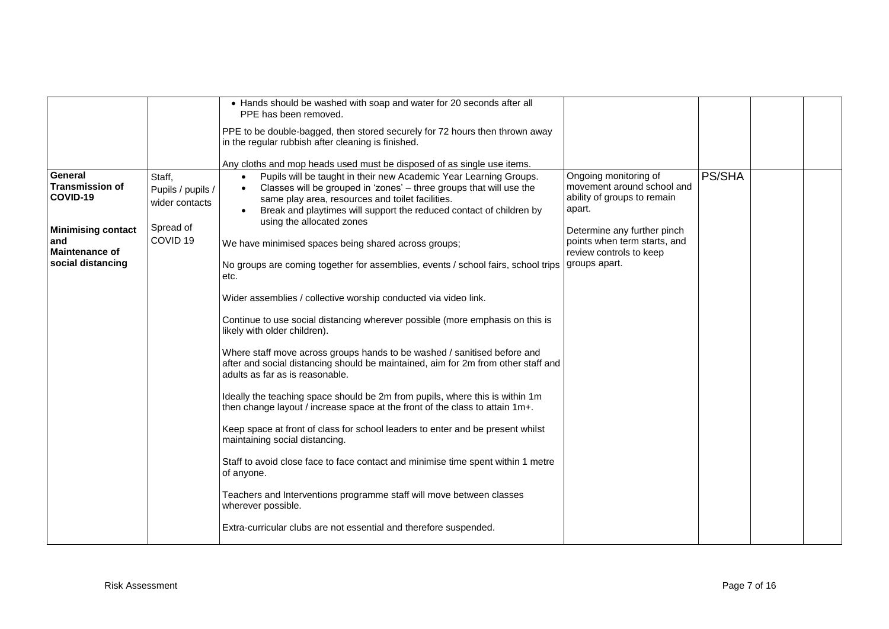|                                                                                                                                 |                                                                                   | • Hands should be washed with soap and water for 20 seconds after all<br>PPE has been removed.<br>PPE to be double-bagged, then stored securely for 72 hours then thrown away<br>in the regular rubbish after cleaning is finished.<br>Any cloths and mop heads used must be disposed of as single use items.                                                                                                                                                                                                                                                                                                                                                                                                                                                                                                                                                                                                                                                                                                                                                                                                                                                                                                                                                                                                                                                                                                                                 |                                                                                                                                                                                                         |        |  |
|---------------------------------------------------------------------------------------------------------------------------------|-----------------------------------------------------------------------------------|-----------------------------------------------------------------------------------------------------------------------------------------------------------------------------------------------------------------------------------------------------------------------------------------------------------------------------------------------------------------------------------------------------------------------------------------------------------------------------------------------------------------------------------------------------------------------------------------------------------------------------------------------------------------------------------------------------------------------------------------------------------------------------------------------------------------------------------------------------------------------------------------------------------------------------------------------------------------------------------------------------------------------------------------------------------------------------------------------------------------------------------------------------------------------------------------------------------------------------------------------------------------------------------------------------------------------------------------------------------------------------------------------------------------------------------------------|---------------------------------------------------------------------------------------------------------------------------------------------------------------------------------------------------------|--------|--|
| General<br><b>Transmission of</b><br>COVID-19<br><b>Minimising contact</b><br>and<br><b>Maintenance of</b><br>social distancing | Staff,<br>Pupils / pupils /<br>wider contacts<br>Spread of<br>COVID <sub>19</sub> | Pupils will be taught in their new Academic Year Learning Groups.<br>$\bullet$<br>Classes will be grouped in 'zones' - three groups that will use the<br>$\bullet$<br>same play area, resources and toilet facilities.<br>Break and playtimes will support the reduced contact of children by<br>$\bullet$<br>using the allocated zones<br>We have minimised spaces being shared across groups;<br>No groups are coming together for assemblies, events / school fairs, school trips<br>etc.<br>Wider assemblies / collective worship conducted via video link.<br>Continue to use social distancing wherever possible (more emphasis on this is<br>likely with older children).<br>Where staff move across groups hands to be washed / sanitised before and<br>after and social distancing should be maintained, aim for 2m from other staff and<br>adults as far as is reasonable.<br>Ideally the teaching space should be 2m from pupils, where this is within 1m<br>then change layout / increase space at the front of the class to attain 1m+.<br>Keep space at front of class for school leaders to enter and be present whilst<br>maintaining social distancing.<br>Staff to avoid close face to face contact and minimise time spent within 1 metre<br>of anyone.<br>Teachers and Interventions programme staff will move between classes<br>wherever possible.<br>Extra-curricular clubs are not essential and therefore suspended. | Ongoing monitoring of<br>movement around school and<br>ability of groups to remain<br>apart.<br>Determine any further pinch<br>points when term starts, and<br>review controls to keep<br>groups apart. | PS/SHA |  |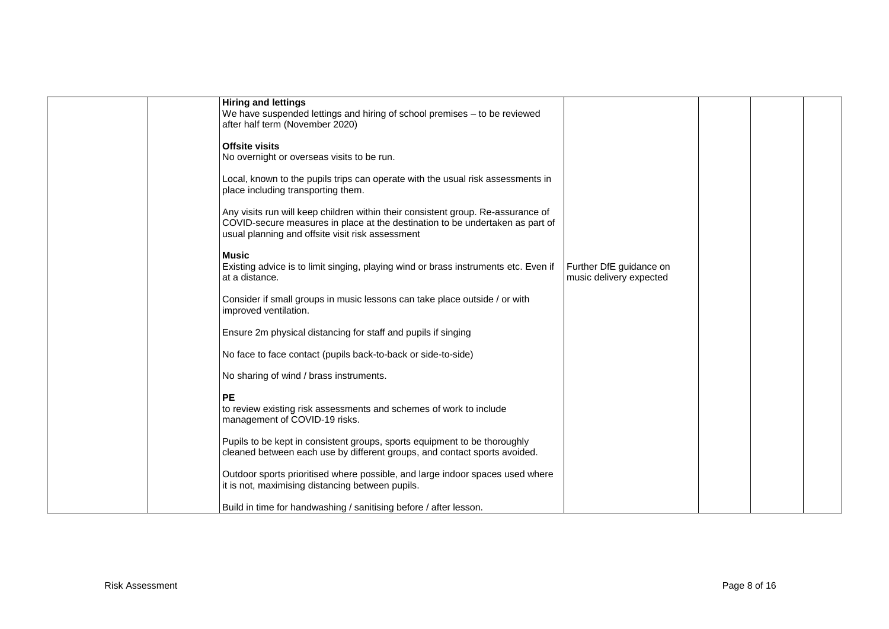| <b>Hiring and lettings</b><br>We have suspended lettings and hiring of school premises - to be reviewed<br>after half term (November 2020)                                                                            |                                                    |  |  |
|-----------------------------------------------------------------------------------------------------------------------------------------------------------------------------------------------------------------------|----------------------------------------------------|--|--|
| <b>Offsite visits</b><br>No overnight or overseas visits to be run.                                                                                                                                                   |                                                    |  |  |
| Local, known to the pupils trips can operate with the usual risk assessments in<br>place including transporting them.                                                                                                 |                                                    |  |  |
| Any visits run will keep children within their consistent group. Re-assurance of<br>COVID-secure measures in place at the destination to be undertaken as part of<br>usual planning and offsite visit risk assessment |                                                    |  |  |
| <b>Music</b><br>Existing advice is to limit singing, playing wind or brass instruments etc. Even if<br>at a distance.                                                                                                 | Further DfE guidance on<br>music delivery expected |  |  |
| Consider if small groups in music lessons can take place outside / or with<br>improved ventilation.                                                                                                                   |                                                    |  |  |
| Ensure 2m physical distancing for staff and pupils if singing                                                                                                                                                         |                                                    |  |  |
| No face to face contact (pupils back-to-back or side-to-side)                                                                                                                                                         |                                                    |  |  |
| No sharing of wind / brass instruments.                                                                                                                                                                               |                                                    |  |  |
| <b>PE</b><br>to review existing risk assessments and schemes of work to include<br>management of COVID-19 risks.                                                                                                      |                                                    |  |  |
| Pupils to be kept in consistent groups, sports equipment to be thoroughly<br>cleaned between each use by different groups, and contact sports avoided.                                                                |                                                    |  |  |
| Outdoor sports prioritised where possible, and large indoor spaces used where<br>it is not, maximising distancing between pupils.                                                                                     |                                                    |  |  |
| Build in time for handwashing / sanitising before / after lesson.                                                                                                                                                     |                                                    |  |  |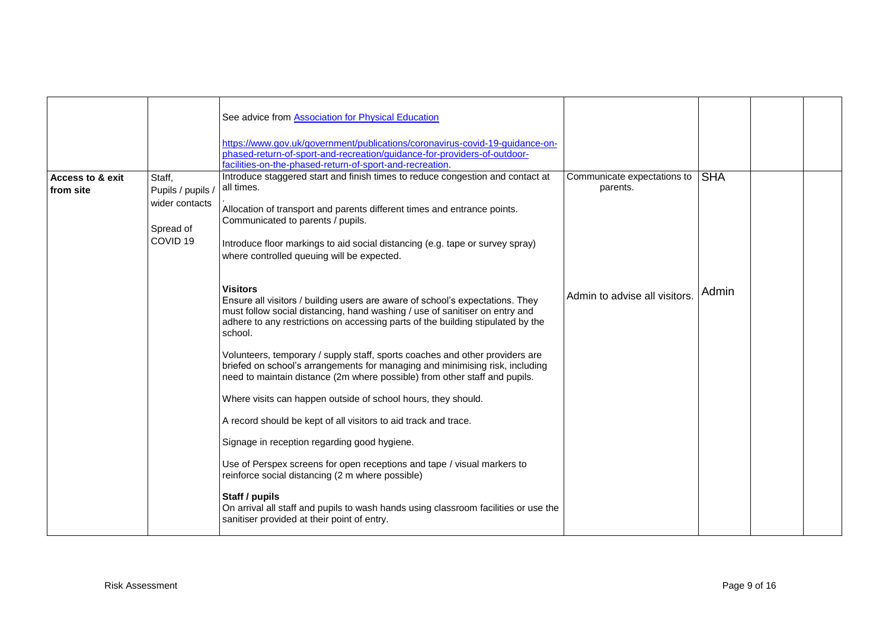|                             |                     | See advice from <b>Association</b> for Physical Education<br>https://www.gov.uk/government/publications/coronavirus-covid-19-guidance-on-<br>phased-return-of-sport-and-recreation/guidance-for-providers-of-outdoor-                                                         |                               |            |  |
|-----------------------------|---------------------|-------------------------------------------------------------------------------------------------------------------------------------------------------------------------------------------------------------------------------------------------------------------------------|-------------------------------|------------|--|
|                             |                     | facilities-on-the-phased-return-of-sport-and-recreation.                                                                                                                                                                                                                      |                               |            |  |
| <b>Access to &amp; exit</b> | Staff,              | Introduce staggered start and finish times to reduce congestion and contact at                                                                                                                                                                                                | Communicate expectations to   | <b>SHA</b> |  |
| from site                   | Pupils / pupils /   | all times.                                                                                                                                                                                                                                                                    | parents.                      |            |  |
|                             | wider contacts      | Allocation of transport and parents different times and entrance points.<br>Communicated to parents / pupils.                                                                                                                                                                 |                               |            |  |
|                             | Spread of           |                                                                                                                                                                                                                                                                               |                               |            |  |
|                             | COVID <sub>19</sub> | Introduce floor markings to aid social distancing (e.g. tape or survey spray)<br>where controlled queuing will be expected.                                                                                                                                                   |                               |            |  |
|                             |                     | <b>Visitors</b><br>Ensure all visitors / building users are aware of school's expectations. They<br>must follow social distancing, hand washing / use of sanitiser on entry and<br>adhere to any restrictions on accessing parts of the building stipulated by the<br>school. | Admin to advise all visitors. | Admin      |  |
|                             |                     | Volunteers, temporary / supply staff, sports coaches and other providers are<br>briefed on school's arrangements for managing and minimising risk, including<br>need to maintain distance (2m where possible) from other staff and pupils.                                    |                               |            |  |
|                             |                     | Where visits can happen outside of school hours, they should.                                                                                                                                                                                                                 |                               |            |  |
|                             |                     | A record should be kept of all visitors to aid track and trace.                                                                                                                                                                                                               |                               |            |  |
|                             |                     | Signage in reception regarding good hygiene.                                                                                                                                                                                                                                  |                               |            |  |
|                             |                     | Use of Perspex screens for open receptions and tape / visual markers to<br>reinforce social distancing (2 m where possible)                                                                                                                                                   |                               |            |  |
|                             |                     | Staff / pupils<br>On arrival all staff and pupils to wash hands using classroom facilities or use the<br>sanitiser provided at their point of entry.                                                                                                                          |                               |            |  |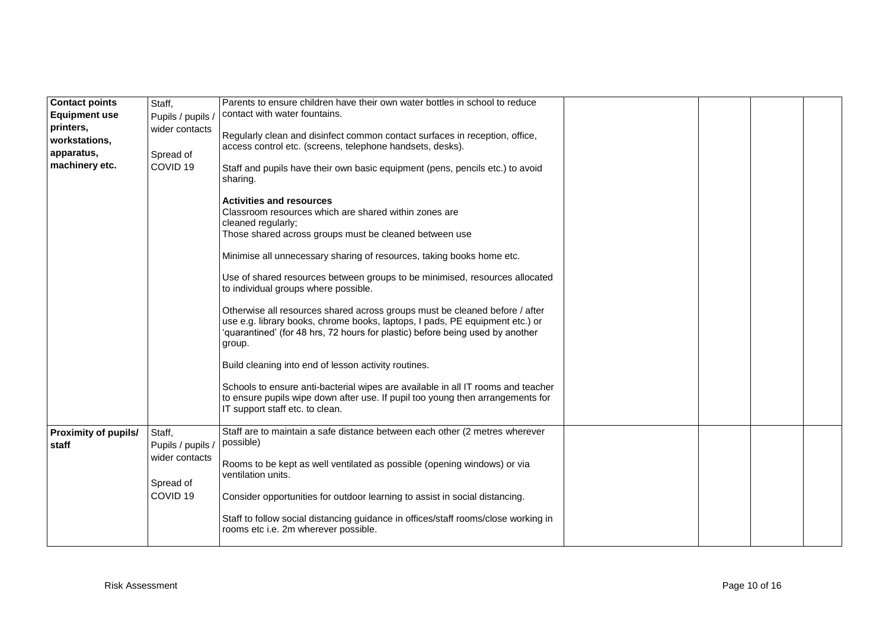| <b>Contact points</b>       | Staff,              | Parents to ensure children have their own water bottles in school to reduce                                                |  |  |
|-----------------------------|---------------------|----------------------------------------------------------------------------------------------------------------------------|--|--|
| <b>Equipment use</b>        | Pupils / pupils /   | contact with water fountains.                                                                                              |  |  |
| printers,                   | wider contacts      |                                                                                                                            |  |  |
| workstations,               |                     | Regularly clean and disinfect common contact surfaces in reception, office,                                                |  |  |
| apparatus,                  | Spread of           | access control etc. (screens, telephone handsets, desks).                                                                  |  |  |
| machinery etc.              | COVID <sub>19</sub> |                                                                                                                            |  |  |
|                             |                     | Staff and pupils have their own basic equipment (pens, pencils etc.) to avoid                                              |  |  |
|                             |                     | sharing.                                                                                                                   |  |  |
|                             |                     | <b>Activities and resources</b>                                                                                            |  |  |
|                             |                     | Classroom resources which are shared within zones are                                                                      |  |  |
|                             |                     | cleaned regularly;                                                                                                         |  |  |
|                             |                     | Those shared across groups must be cleaned between use                                                                     |  |  |
|                             |                     |                                                                                                                            |  |  |
|                             |                     | Minimise all unnecessary sharing of resources, taking books home etc.                                                      |  |  |
|                             |                     |                                                                                                                            |  |  |
|                             |                     | Use of shared resources between groups to be minimised, resources allocated                                                |  |  |
|                             |                     | to individual groups where possible.                                                                                       |  |  |
|                             |                     | Otherwise all resources shared across groups must be cleaned before / after                                                |  |  |
|                             |                     | use e.g. library books, chrome books, laptops, I pads, PE equipment etc.) or                                               |  |  |
|                             |                     | 'quarantined' (for 48 hrs, 72 hours for plastic) before being used by another                                              |  |  |
|                             |                     | group.                                                                                                                     |  |  |
|                             |                     |                                                                                                                            |  |  |
|                             |                     | Build cleaning into end of lesson activity routines.                                                                       |  |  |
|                             |                     |                                                                                                                            |  |  |
|                             |                     | Schools to ensure anti-bacterial wipes are available in all IT rooms and teacher                                           |  |  |
|                             |                     | to ensure pupils wipe down after use. If pupil too young then arrangements for                                             |  |  |
|                             |                     | IT support staff etc. to clean.                                                                                            |  |  |
| <b>Proximity of pupils/</b> | Staff,              | Staff are to maintain a safe distance between each other (2 metres wherever                                                |  |  |
| staff                       | Pupils / pupils /   | possible)                                                                                                                  |  |  |
|                             | wider contacts      |                                                                                                                            |  |  |
|                             |                     | Rooms to be kept as well ventilated as possible (opening windows) or via                                                   |  |  |
|                             |                     | ventilation units.                                                                                                         |  |  |
|                             | Spread of           |                                                                                                                            |  |  |
|                             | COVID <sub>19</sub> | Consider opportunities for outdoor learning to assist in social distancing.                                                |  |  |
|                             |                     |                                                                                                                            |  |  |
|                             |                     | Staff to follow social distancing guidance in offices/staff rooms/close working in<br>rooms etc i.e. 2m wherever possible. |  |  |
|                             |                     |                                                                                                                            |  |  |
|                             |                     |                                                                                                                            |  |  |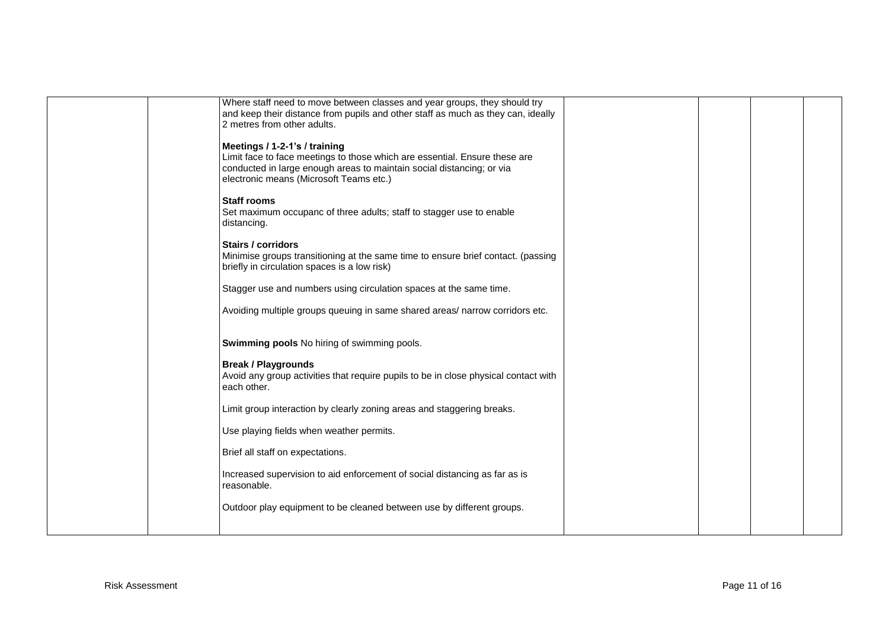| Where staff need to move between classes and year groups, they should try<br>and keep their distance from pupils and other staff as much as they can, ideally<br>2 metres from other adults.                                    |  |
|---------------------------------------------------------------------------------------------------------------------------------------------------------------------------------------------------------------------------------|--|
| Meetings / 1-2-1's / training<br>Limit face to face meetings to those which are essential. Ensure these are<br>conducted in large enough areas to maintain social distancing; or via<br>electronic means (Microsoft Teams etc.) |  |
| <b>Staff rooms</b><br>Set maximum occupanc of three adults; staff to stagger use to enable<br>distancing.                                                                                                                       |  |
| <b>Stairs / corridors</b><br>Minimise groups transitioning at the same time to ensure brief contact. (passing<br>briefly in circulation spaces is a low risk)                                                                   |  |
| Stagger use and numbers using circulation spaces at the same time.                                                                                                                                                              |  |
| Avoiding multiple groups queuing in same shared areas/ narrow corridors etc.                                                                                                                                                    |  |
| <b>Swimming pools</b> No hiring of swimming pools.                                                                                                                                                                              |  |
| <b>Break / Playgrounds</b><br>Avoid any group activities that require pupils to be in close physical contact with<br>each other.                                                                                                |  |
| Limit group interaction by clearly zoning areas and staggering breaks.                                                                                                                                                          |  |
| Use playing fields when weather permits.                                                                                                                                                                                        |  |
| Brief all staff on expectations.                                                                                                                                                                                                |  |
| Increased supervision to aid enforcement of social distancing as far as is<br>reasonable.                                                                                                                                       |  |
| Outdoor play equipment to be cleaned between use by different groups.                                                                                                                                                           |  |
|                                                                                                                                                                                                                                 |  |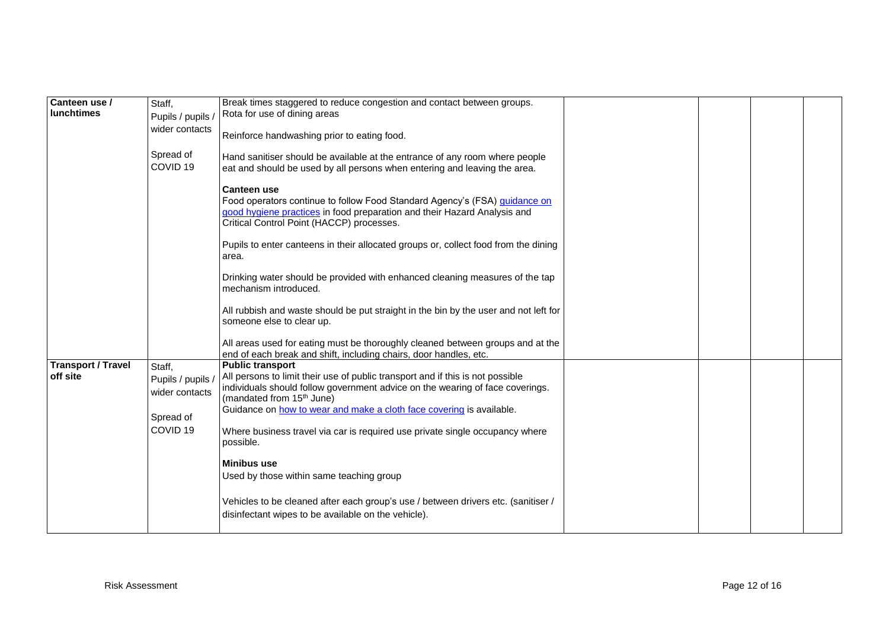| Canteen use /             | Staff,                              | Break times staggered to reduce congestion and contact between groups.                                                                                                                                                    |  |  |
|---------------------------|-------------------------------------|---------------------------------------------------------------------------------------------------------------------------------------------------------------------------------------------------------------------------|--|--|
| lunchtimes                |                                     | Rota for use of dining areas                                                                                                                                                                                              |  |  |
|                           | Pupils / pupils /                   |                                                                                                                                                                                                                           |  |  |
|                           | wider contacts                      | Reinforce handwashing prior to eating food.                                                                                                                                                                               |  |  |
|                           | Spread of<br>COVID <sub>19</sub>    | Hand sanitiser should be available at the entrance of any room where people<br>eat and should be used by all persons when entering and leaving the area.                                                                  |  |  |
|                           |                                     | <b>Canteen use</b><br>Food operators continue to follow Food Standard Agency's (FSA) guidance on<br>good hygiene practices in food preparation and their Hazard Analysis and<br>Critical Control Point (HACCP) processes. |  |  |
|                           |                                     | Pupils to enter canteens in their allocated groups or, collect food from the dining<br>area.                                                                                                                              |  |  |
|                           |                                     | Drinking water should be provided with enhanced cleaning measures of the tap<br>mechanism introduced.                                                                                                                     |  |  |
|                           |                                     | All rubbish and waste should be put straight in the bin by the user and not left for<br>someone else to clear up.                                                                                                         |  |  |
|                           |                                     | All areas used for eating must be thoroughly cleaned between groups and at the<br>end of each break and shift, including chairs, door handles, etc.                                                                       |  |  |
| <b>Transport / Travel</b> | Staff,                              | <b>Public transport</b>                                                                                                                                                                                                   |  |  |
| off site                  | Pupils / pupils /<br>wider contacts | All persons to limit their use of public transport and if this is not possible<br>individuals should follow government advice on the wearing of face coverings.<br>(mandated from 15 <sup>th</sup> June)                  |  |  |
|                           | Spread of                           | Guidance on how to wear and make a cloth face covering is available.                                                                                                                                                      |  |  |
|                           | COVID <sub>19</sub>                 | Where business travel via car is required use private single occupancy where<br>possible.                                                                                                                                 |  |  |
|                           |                                     | <b>Minibus use</b>                                                                                                                                                                                                        |  |  |
|                           |                                     | Used by those within same teaching group                                                                                                                                                                                  |  |  |
|                           |                                     | Vehicles to be cleaned after each group's use / between drivers etc. (sanitiser /<br>disinfectant wipes to be available on the vehicle).                                                                                  |  |  |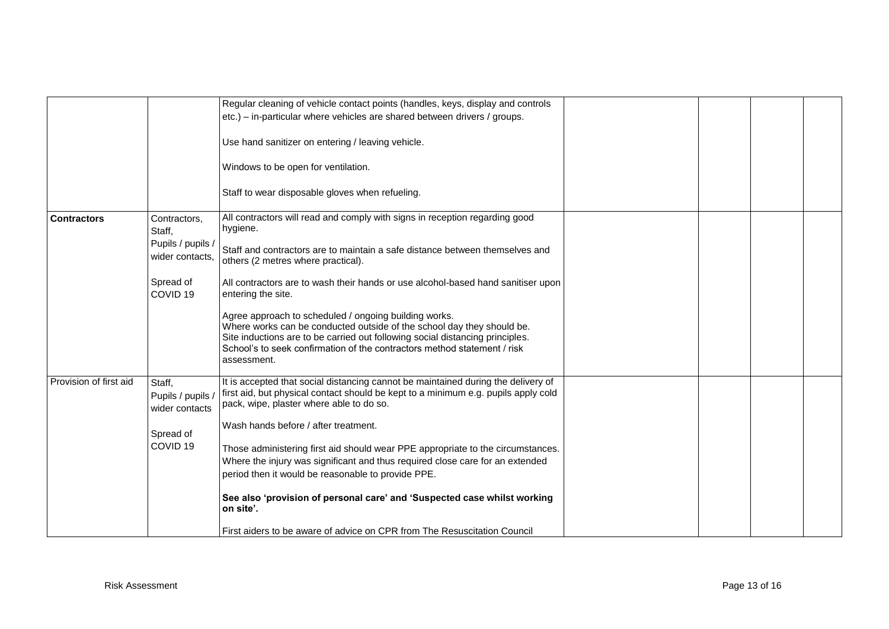|                        |                                               | Regular cleaning of vehicle contact points (handles, keys, display and controls                                                                                                                                                                                                                             |  |  |
|------------------------|-----------------------------------------------|-------------------------------------------------------------------------------------------------------------------------------------------------------------------------------------------------------------------------------------------------------------------------------------------------------------|--|--|
|                        |                                               | etc.) – in-particular where vehicles are shared between drivers / groups.                                                                                                                                                                                                                                   |  |  |
|                        |                                               | Use hand sanitizer on entering / leaving vehicle.                                                                                                                                                                                                                                                           |  |  |
|                        |                                               | Windows to be open for ventilation.                                                                                                                                                                                                                                                                         |  |  |
|                        |                                               | Staff to wear disposable gloves when refueling.                                                                                                                                                                                                                                                             |  |  |
| <b>Contractors</b>     | Contractors,<br>Staff,                        | All contractors will read and comply with signs in reception regarding good<br>hygiene.                                                                                                                                                                                                                     |  |  |
|                        | Pupils / pupils /<br>wider contacts,          | Staff and contractors are to maintain a safe distance between themselves and<br>others (2 metres where practical).                                                                                                                                                                                          |  |  |
|                        | Spread of<br>COVID <sub>19</sub>              | All contractors are to wash their hands or use alcohol-based hand sanitiser upon<br>entering the site.                                                                                                                                                                                                      |  |  |
|                        |                                               | Agree approach to scheduled / ongoing building works.<br>Where works can be conducted outside of the school day they should be.<br>Site inductions are to be carried out following social distancing principles.<br>School's to seek confirmation of the contractors method statement / risk<br>assessment. |  |  |
| Provision of first aid | Staff,<br>Pupils / pupils /<br>wider contacts | It is accepted that social distancing cannot be maintained during the delivery of<br>first aid, but physical contact should be kept to a minimum e.g. pupils apply cold<br>pack, wipe, plaster where able to do so.                                                                                         |  |  |
|                        | Spread of                                     | Wash hands before / after treatment.                                                                                                                                                                                                                                                                        |  |  |
|                        | COVID <sub>19</sub>                           | Those administering first aid should wear PPE appropriate to the circumstances.                                                                                                                                                                                                                             |  |  |
|                        |                                               | Where the injury was significant and thus required close care for an extended                                                                                                                                                                                                                               |  |  |
|                        |                                               | period then it would be reasonable to provide PPE.                                                                                                                                                                                                                                                          |  |  |
|                        |                                               | See also 'provision of personal care' and 'Suspected case whilst working<br>on site'.                                                                                                                                                                                                                       |  |  |
|                        |                                               | First aiders to be aware of advice on CPR from The Resuscitation Council                                                                                                                                                                                                                                    |  |  |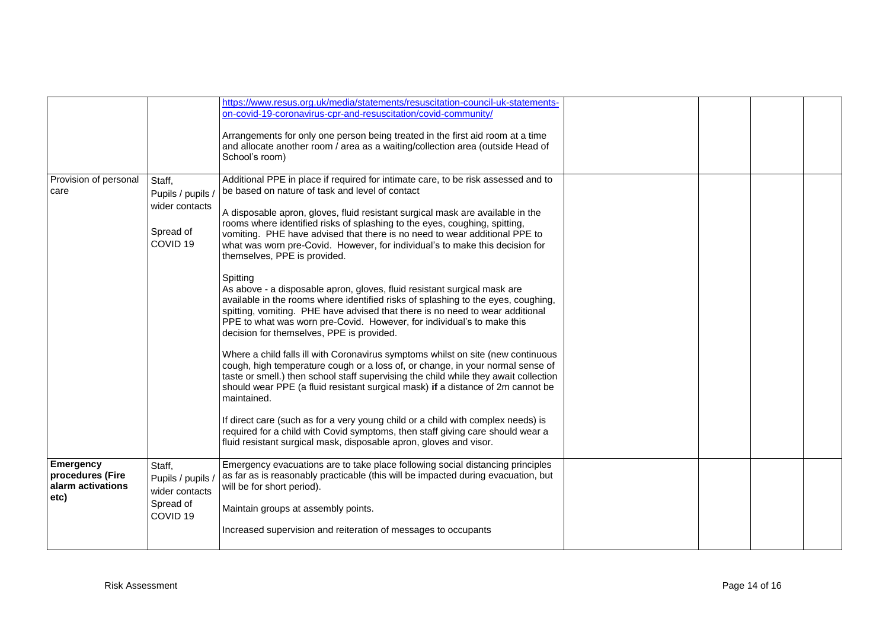|                                                                   |                                                                                   | https://www.resus.org.uk/media/statements/resuscitation-council-uk-statements-<br>on-covid-19-coronavirus-cpr-and-resuscitation/covid-community/<br>Arrangements for only one person being treated in the first aid room at a time<br>and allocate another room / area as a waiting/collection area (outside Head of<br>School's room)                                                                                                                                                                                                                                                                                                                                                                                                                                                                                                                                                                                                                                                                                                                                                                                                                                                                                                                                                                                                                                                                                                                                                              |  |  |
|-------------------------------------------------------------------|-----------------------------------------------------------------------------------|-----------------------------------------------------------------------------------------------------------------------------------------------------------------------------------------------------------------------------------------------------------------------------------------------------------------------------------------------------------------------------------------------------------------------------------------------------------------------------------------------------------------------------------------------------------------------------------------------------------------------------------------------------------------------------------------------------------------------------------------------------------------------------------------------------------------------------------------------------------------------------------------------------------------------------------------------------------------------------------------------------------------------------------------------------------------------------------------------------------------------------------------------------------------------------------------------------------------------------------------------------------------------------------------------------------------------------------------------------------------------------------------------------------------------------------------------------------------------------------------------------|--|--|
| Provision of personal<br>care                                     | Staff,<br>Pupils / pupils /<br>wider contacts<br>Spread of<br>COVID <sub>19</sub> | Additional PPE in place if required for intimate care, to be risk assessed and to<br>be based on nature of task and level of contact<br>A disposable apron, gloves, fluid resistant surgical mask are available in the<br>rooms where identified risks of splashing to the eyes, coughing, spitting,<br>vomiting. PHE have advised that there is no need to wear additional PPE to<br>what was worn pre-Covid. However, for individual's to make this decision for<br>themselves, PPE is provided.<br>Spitting<br>As above - a disposable apron, gloves, fluid resistant surgical mask are<br>available in the rooms where identified risks of splashing to the eyes, coughing,<br>spitting, vomiting. PHE have advised that there is no need to wear additional<br>PPE to what was worn pre-Covid. However, for individual's to make this<br>decision for themselves, PPE is provided.<br>Where a child falls ill with Coronavirus symptoms whilst on site (new continuous<br>cough, high temperature cough or a loss of, or change, in your normal sense of<br>taste or smell.) then school staff supervising the child while they await collection<br>should wear PPE (a fluid resistant surgical mask) if a distance of 2m cannot be<br>maintained.<br>If direct care (such as for a very young child or a child with complex needs) is<br>required for a child with Covid symptoms, then staff giving care should wear a<br>fluid resistant surgical mask, disposable apron, gloves and visor. |  |  |
| <b>Emergency</b><br>procedures (Fire<br>alarm activations<br>etc) | Staff,<br>Pupils / pupils /<br>wider contacts<br>Spread of<br>COVID <sub>19</sub> | Emergency evacuations are to take place following social distancing principles<br>as far as is reasonably practicable (this will be impacted during evacuation, but<br>will be for short period).<br>Maintain groups at assembly points.<br>Increased supervision and reiteration of messages to occupants                                                                                                                                                                                                                                                                                                                                                                                                                                                                                                                                                                                                                                                                                                                                                                                                                                                                                                                                                                                                                                                                                                                                                                                          |  |  |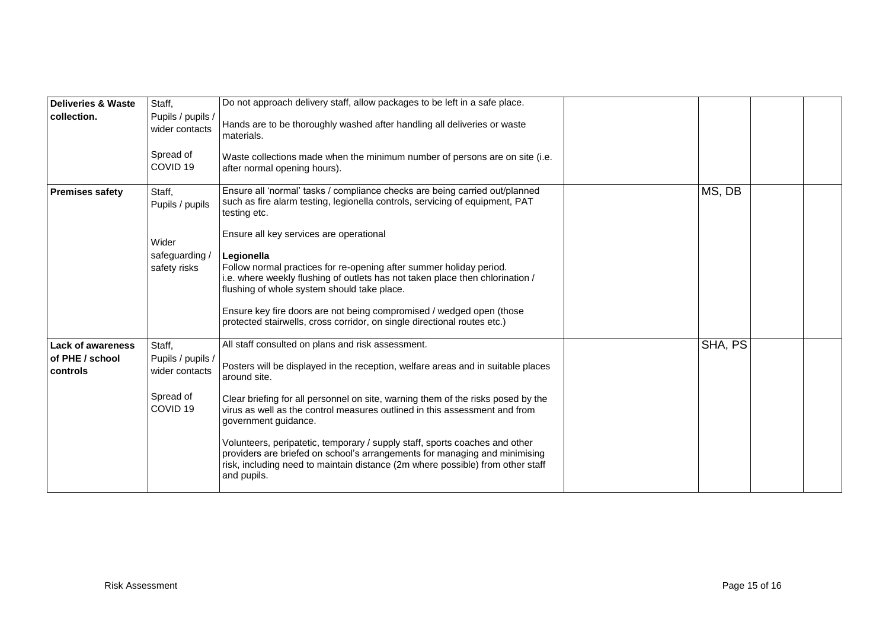| <b>Deliveries &amp; Waste</b> | Staff,                                                                  | Do not approach delivery staff, allow packages to be left in a safe place.                                                                                                                                                                                 |         |  |
|-------------------------------|-------------------------------------------------------------------------|------------------------------------------------------------------------------------------------------------------------------------------------------------------------------------------------------------------------------------------------------------|---------|--|
| collection.                   | Pupils / pupils /<br>wider contacts<br>Spread of<br>COVID <sub>19</sub> | Hands are to be thoroughly washed after handling all deliveries or waste<br>materials.<br>Waste collections made when the minimum number of persons are on site (i.e.<br>after normal opening hours).                                                      |         |  |
|                               |                                                                         |                                                                                                                                                                                                                                                            |         |  |
| <b>Premises safety</b>        | Staff,<br>Pupils / pupils                                               | Ensure all 'normal' tasks / compliance checks are being carried out/planned<br>such as fire alarm testing, legionella controls, servicing of equipment, PAT<br>testing etc.                                                                                | MS, DB  |  |
|                               | Wider                                                                   | Ensure all key services are operational                                                                                                                                                                                                                    |         |  |
|                               | safeguarding /<br>safety risks                                          | Legionella<br>Follow normal practices for re-opening after summer holiday period.<br>i.e. where weekly flushing of outlets has not taken place then chlorination /<br>flushing of whole system should take place.                                          |         |  |
|                               |                                                                         | Ensure key fire doors are not being compromised / wedged open (those<br>protected stairwells, cross corridor, on single directional routes etc.)                                                                                                           |         |  |
| <b>Lack of awareness</b>      | Staff,                                                                  | All staff consulted on plans and risk assessment.                                                                                                                                                                                                          | SHA, PS |  |
| of PHE / school<br>controls   | Pupils / pupils /<br>wider contacts                                     | Posters will be displayed in the reception, welfare areas and in suitable places<br>around site.                                                                                                                                                           |         |  |
|                               | Spread of<br>COVID <sub>19</sub>                                        | Clear briefing for all personnel on site, warning them of the risks posed by the<br>virus as well as the control measures outlined in this assessment and from<br>government guidance.                                                                     |         |  |
|                               |                                                                         | Volunteers, peripatetic, temporary / supply staff, sports coaches and other<br>providers are briefed on school's arrangements for managing and minimising<br>risk, including need to maintain distance (2m where possible) from other staff<br>and pupils. |         |  |